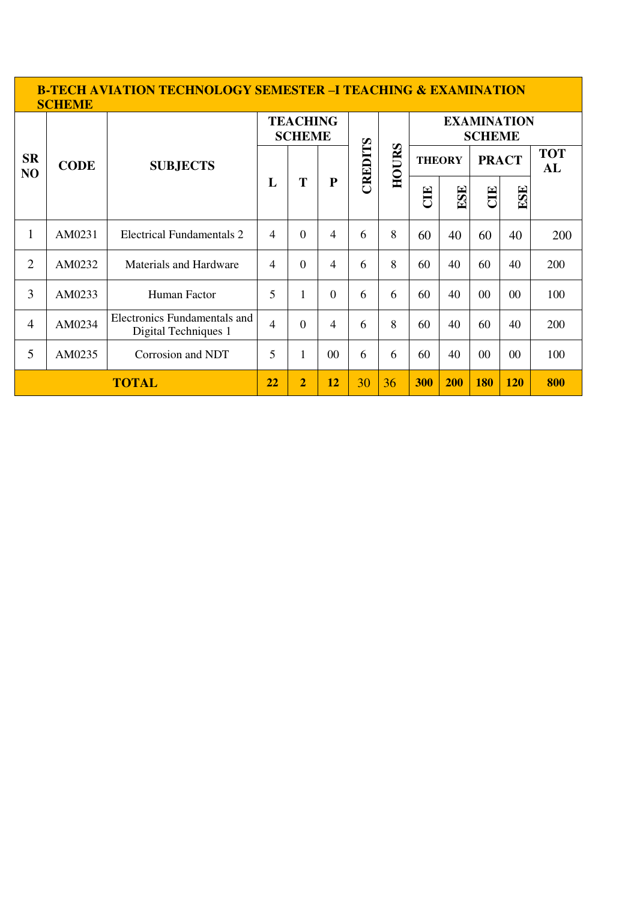|                             | <b>B-TECH AVIATION TECHNOLOGY SEMESTER -I TEACHING &amp; EXAMINATION</b><br><b>SCHEME</b> |                                                      |                 |                                  |           |         |       |                                     |               |            |              |                  |
|-----------------------------|-------------------------------------------------------------------------------------------|------------------------------------------------------|-----------------|----------------------------------|-----------|---------|-------|-------------------------------------|---------------|------------|--------------|------------------|
|                             |                                                                                           |                                                      |                 | <b>TEACHING</b><br><b>SCHEME</b> |           |         | HOURS | <b>EXAMINATION</b><br><b>SCHEME</b> |               |            |              |                  |
| <b>SR</b><br>N <sub>O</sub> | <b>CODE</b>                                                                               | <b>SUBJECTS</b>                                      |                 |                                  | ${\bf P}$ | CREDITS |       |                                     | <b>THEORY</b> |            | <b>PRACT</b> | <b>TOT</b><br>AL |
|                             |                                                                                           |                                                      | T<br>L          |                                  |           |         |       | E                                   | ESE           | E          | <b>ESE</b>   |                  |
| 1                           | AM0231                                                                                    | <b>Electrical Fundamentals 2</b>                     | 4               | $\Omega$                         | 4         | 6       | 8     | 60                                  | 40            | 60         | 40           | 200              |
| $\overline{2}$              | AM0232                                                                                    | Materials and Hardware                               | 4               | $\Omega$                         | 4         | 6       | 8     | 60                                  | 40            | 60         | 40           | 200              |
| 3                           | AM0233                                                                                    | Human Factor                                         | 5               | 1                                | $\Omega$  | 6       | 6     | 60                                  | 40            | $00\,$     | $00\,$       | 100              |
| 4                           | AM0234                                                                                    | Electronics Fundamentals and<br>Digital Techniques 1 | $\overline{4}$  | $\Omega$                         | 4         | 6       | 8     | 60                                  | 40            | 60         | 40           | 200              |
| 5                           | AM0235                                                                                    | Corrosion and NDT                                    | 5               | 1                                | 00        | 6       | 6     | 60                                  | 40            | $00\,$     | $00\,$       | 100              |
| <b>TOTAL</b>                |                                                                                           |                                                      | $\overline{22}$ | $\overline{2}$                   | 12        | 30      | 36    | 300                                 | 200           | <b>180</b> | <b>120</b>   | 800              |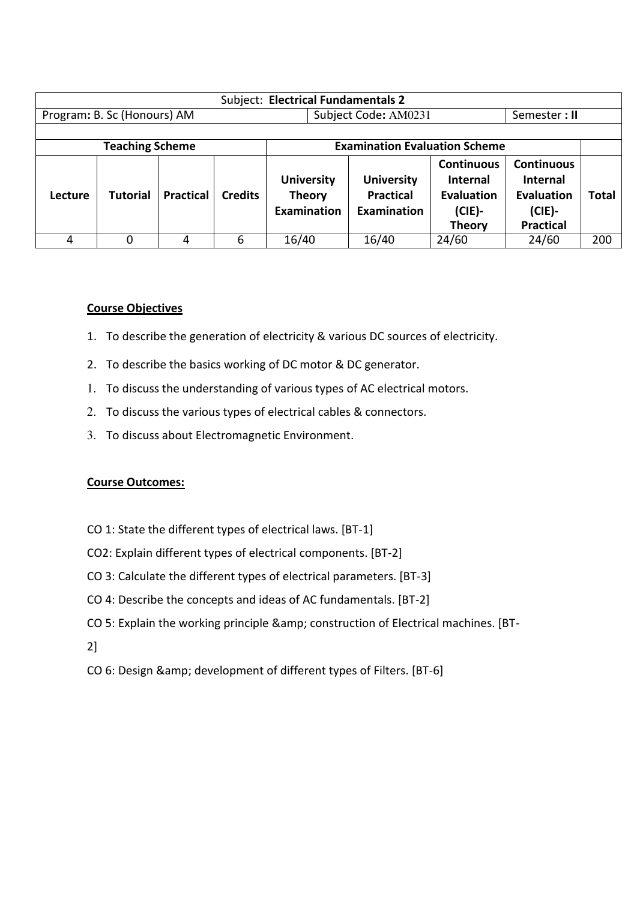| Subject: Electrical Fundamentals 2 |                             |                  |                |                                                   |                                                      |                                                                                         |                                                                                            |              |  |
|------------------------------------|-----------------------------|------------------|----------------|---------------------------------------------------|------------------------------------------------------|-----------------------------------------------------------------------------------------|--------------------------------------------------------------------------------------------|--------------|--|
|                                    | Program: B. Sc (Honours) AM |                  |                |                                                   | Subject Code: AM0231                                 |                                                                                         | Semester: II                                                                               |              |  |
|                                    |                             |                  |                |                                                   |                                                      |                                                                                         |                                                                                            |              |  |
|                                    | <b>Teaching Scheme</b>      |                  |                |                                                   | <b>Examination Evaluation Scheme</b>                 |                                                                                         |                                                                                            |              |  |
| Lecture                            | <b>Tutorial</b>             | <b>Practical</b> | <b>Credits</b> | <b>University</b><br><b>Theory</b><br>Examination | <b>University</b><br><b>Practical</b><br>Examination | <b>Continuous</b><br><b>Internal</b><br><b>Evaluation</b><br>$(CIE)$ -<br><b>Theory</b> | <b>Continuous</b><br><b>Internal</b><br><b>Evaluation</b><br>$(CIE)$ -<br><b>Practical</b> | <b>Total</b> |  |
| 4                                  | 0                           | 4                | 6              | 16/40                                             | 16/40                                                | 24/60                                                                                   | 24/60                                                                                      | 200          |  |

- 1. To describe the generation of electricity & various DC sources of electricity.
- 2. To describe the basics working of DC motor & DC generator.
- 1. To discuss the understanding of various types of AC electrical motors.
- 2. To discuss the various types of electrical cables & connectors.
- 3. To discuss about Electromagnetic Environment.

#### **Course Outcomes:**

- CO 1: State the different types of electrical laws. [BT-1]
- CO2: Explain different types of electrical components. [BT-2]
- CO 3: Calculate the different types of electrical parameters. [BT-3]
- CO 4: Describe the concepts and ideas of AC fundamentals. [BT-2]
- CO 5: Explain the working principle & amp; construction of Electrical machines. [BT-
- 2]
- CO 6: Design & amp; development of different types of Filters. [BT-6]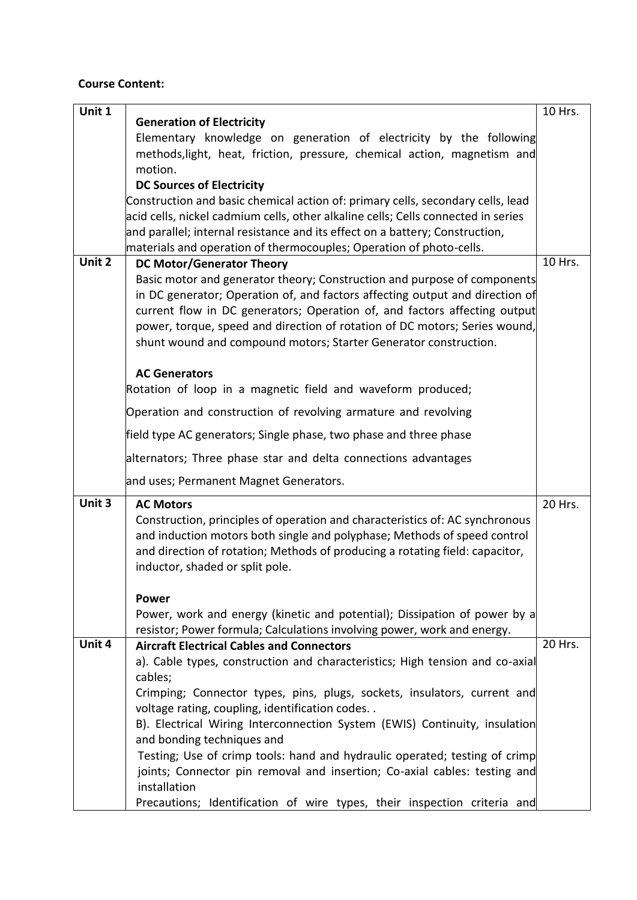| Unit 1 |                                                                                                                                                         | 10 Hrs. |
|--------|---------------------------------------------------------------------------------------------------------------------------------------------------------|---------|
|        | <b>Generation of Electricity</b><br>Elementary knowledge on generation of electricity by the following                                                  |         |
|        | methods, light, heat, friction, pressure, chemical action, magnetism and                                                                                |         |
|        | motion.                                                                                                                                                 |         |
|        | <b>DC Sources of Electricity</b>                                                                                                                        |         |
|        | Construction and basic chemical action of: primary cells, secondary cells, lead                                                                         |         |
|        | acid cells, nickel cadmium cells, other alkaline cells; Cells connected in series                                                                       |         |
|        | and parallel; internal resistance and its effect on a battery; Construction,                                                                            |         |
|        | materials and operation of thermocouples; Operation of photo-cells.                                                                                     |         |
| Unit 2 | <b>DC Motor/Generator Theory</b>                                                                                                                        | 10 Hrs. |
|        | Basic motor and generator theory; Construction and purpose of components                                                                                |         |
|        | in DC generator; Operation of, and factors affecting output and direction of                                                                            |         |
|        | current flow in DC generators; Operation of, and factors affecting output<br>power, torque, speed and direction of rotation of DC motors; Series wound, |         |
|        | shunt wound and compound motors; Starter Generator construction.                                                                                        |         |
|        |                                                                                                                                                         |         |
|        | <b>AC Generators</b>                                                                                                                                    |         |
|        | Rotation of loop in a magnetic field and waveform produced;                                                                                             |         |
|        | Operation and construction of revolving armature and revolving                                                                                          |         |
|        | field type AC generators; Single phase, two phase and three phase                                                                                       |         |
|        | alternators; Three phase star and delta connections advantages                                                                                          |         |
|        | and uses; Permanent Magnet Generators.                                                                                                                  |         |
| Unit 3 | <b>AC Motors</b>                                                                                                                                        | 20 Hrs. |
|        | Construction, principles of operation and characteristics of: AC synchronous                                                                            |         |
|        | and induction motors both single and polyphase; Methods of speed control                                                                                |         |
|        | and direction of rotation; Methods of producing a rotating field: capacitor,                                                                            |         |
|        | inductor, shaded or split pole.                                                                                                                         |         |
|        | <b>Power</b>                                                                                                                                            |         |
|        | Power, work and energy (kinetic and potential); Dissipation of power by a                                                                               |         |
|        | resistor; Power formula; Calculations involving power, work and energy.                                                                                 |         |
| Unit 4 | <b>Aircraft Electrical Cables and Connectors</b>                                                                                                        | 20 Hrs. |
|        | a). Cable types, construction and characteristics; High tension and co-axial                                                                            |         |
|        | cables;                                                                                                                                                 |         |
|        | Crimping; Connector types, pins, plugs, sockets, insulators, current and                                                                                |         |
|        | voltage rating, coupling, identification codes<br>B). Electrical Wiring Interconnection System (EWIS) Continuity, insulation                            |         |
|        | and bonding techniques and                                                                                                                              |         |
|        | Testing; Use of crimp tools: hand and hydraulic operated; testing of crimp                                                                              |         |
|        | joints; Connector pin removal and insertion; Co-axial cables: testing and                                                                               |         |
|        | installation                                                                                                                                            |         |
|        | Precautions; Identification of wire types, their inspection criteria and                                                                                |         |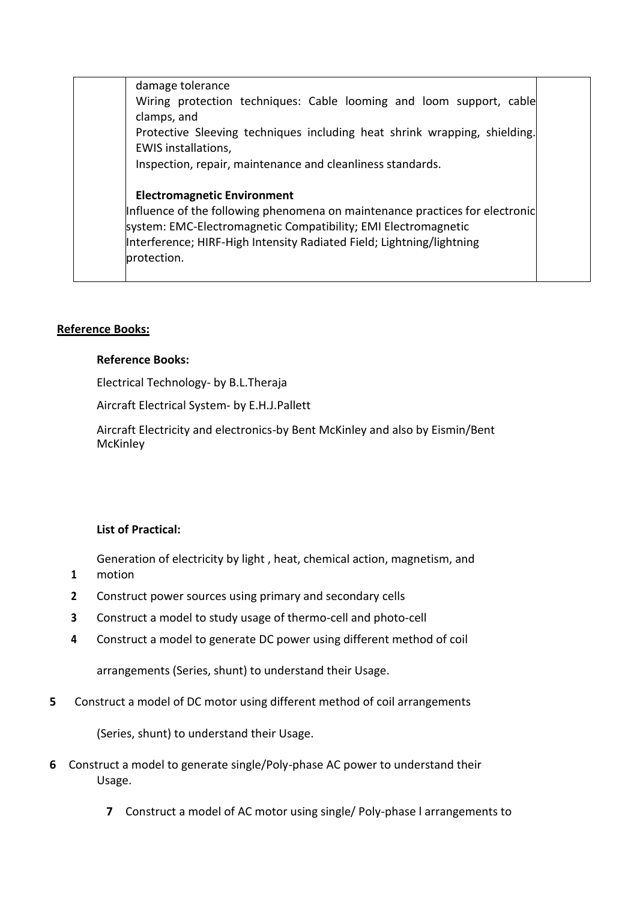damage tolerance Wiring protection techniques: Cable looming and loom support, cable clamps, and Protective Sleeving techniques including heat shrink wrapping, shielding. EWIS installations, Inspection, repair, maintenance and cleanliness standards. **Electromagnetic Environment**  Influence of the following phenomena on maintenance practices for electronic system: EMC-Electromagnetic Compatibility; EMI Electromagnetic Interference; HIRF-High Intensity Radiated Field; Lightning/lightning protection.

### **Reference Books:**

#### **Reference Books:**

Electrical Technology- by B.L.Theraja

Aircraft Electrical System- by E.H.J.Pallett

Aircraft Electricity and electronics-by Bent McKinley and also by Eismin/Bent **McKinley** 

## **List of Practical:**

Generation of electricity by light , heat, chemical action, magnetism, and

- **1**  motion
- **2** Construct power sources using primary and secondary cells
- **3** Construct a model to study usage of thermo-cell and photo-cell
- **4** Construct a model to generate DC power using different method of coil

arrangements (Series, shunt) to understand their Usage.

**5** Construct a model of DC motor using different method of coil arrangements

(Series, shunt) to understand their Usage.

- **6** Construct a model to generate single/Poly-phase AC power to understand their Usage.
	- **7** Construct a model of AC motor using single/ Poly-phase l arrangements to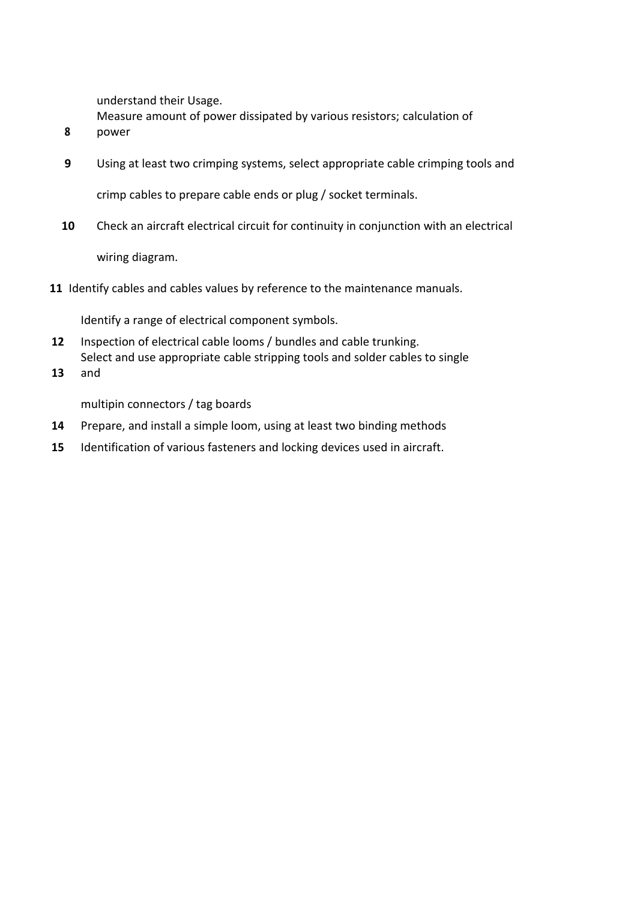understand their Usage.

Measure amount of power dissipated by various resistors; calculation of

- **8**  power
- **9** Using at least two crimping systems, select appropriate cable crimping tools and

crimp cables to prepare cable ends or plug / socket terminals.

**10** Check an aircraft electrical circuit for continuity in conjunction with an electrical

wiring diagram.

**11** Identify cables and cables values by reference to the maintenance manuals.

Identify a range of electrical component symbols.

- **12** Inspection of electrical cable looms / bundles and cable trunking. Select and use appropriate cable stripping tools and solder cables to single
- **13** and

multipin connectors / tag boards

- **14** Prepare, and install a simple loom, using at least two binding methods
- **15** Identification of various fasteners and locking devices used in aircraft.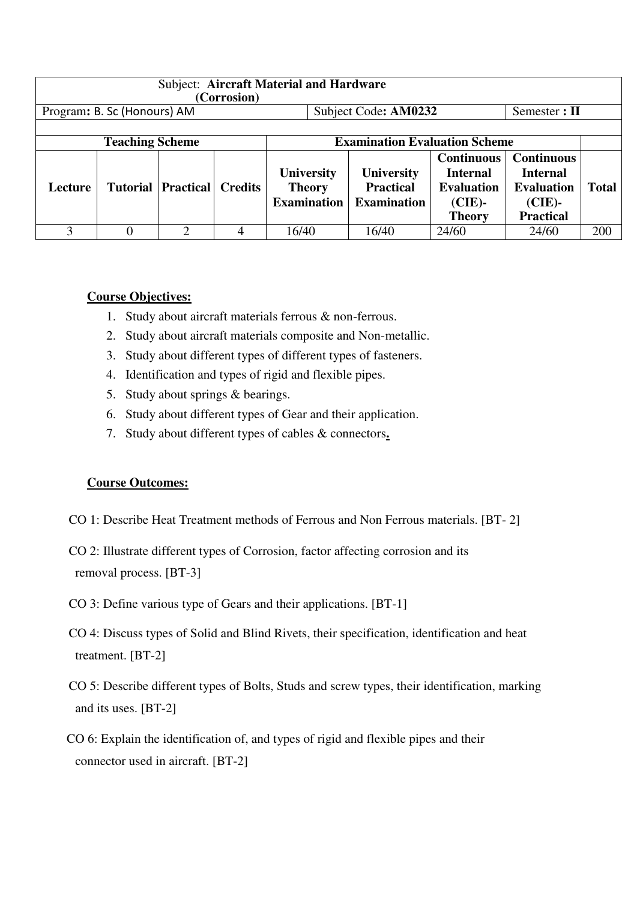| <b>Subject: Aircraft Material and Hardware</b><br>(Corrosion) |                             |                                       |  |                                                   |                                                             |                                                                                         |                                                                                            |              |  |
|---------------------------------------------------------------|-----------------------------|---------------------------------------|--|---------------------------------------------------|-------------------------------------------------------------|-----------------------------------------------------------------------------------------|--------------------------------------------------------------------------------------------|--------------|--|
|                                                               | Program: B. Sc (Honours) AM |                                       |  |                                                   | Subject Code: AM0232                                        |                                                                                         | Semester : II                                                                              |              |  |
|                                                               |                             |                                       |  |                                                   |                                                             |                                                                                         |                                                                                            |              |  |
|                                                               | <b>Teaching Scheme</b>      |                                       |  |                                                   | <b>Examination Evaluation Scheme</b>                        |                                                                                         |                                                                                            |              |  |
| Lecture                                                       |                             | <b>Tutorial   Practical   Credits</b> |  | University<br><b>Theory</b><br><b>Examination</b> | <b>University</b><br><b>Practical</b><br><b>Examination</b> | <b>Continuous</b><br><b>Internal</b><br><b>Evaluation</b><br>$(CIE)$ -<br><b>Theory</b> | <b>Continuous</b><br><b>Internal</b><br><b>Evaluation</b><br>$(CIE)$ -<br><b>Practical</b> | <b>Total</b> |  |
|                                                               |                             |                                       |  | 16/40                                             | 16/40                                                       | 24/60                                                                                   | 24/60                                                                                      | 200          |  |

- 1. Study about aircraft materials ferrous & non-ferrous.
- 2. Study about aircraft materials composite and Non-metallic.
- 3. Study about different types of different types of fasteners.
- 4. Identification and types of rigid and flexible pipes.
- 5. Study about springs & bearings.
- 6. Study about different types of Gear and their application.
- 7. Study about different types of cables & connectors**.**

#### **Course Outcomes:**

CO 1: Describe Heat Treatment methods of Ferrous and Non Ferrous materials. [BT- 2]

CO 2: Illustrate different types of Corrosion, factor affecting corrosion and its removal process. [BT-3]

- CO 3: Define various type of Gears and their applications. [BT-1]
- CO 4: Discuss types of Solid and Blind Rivets, their specification, identification and heat treatment. [BT-2]
- CO 5: Describe different types of Bolts, Studs and screw types, their identification, marking and its uses. [BT-2]
- CO 6: Explain the identification of, and types of rigid and flexible pipes and their connector used in aircraft. [BT-2]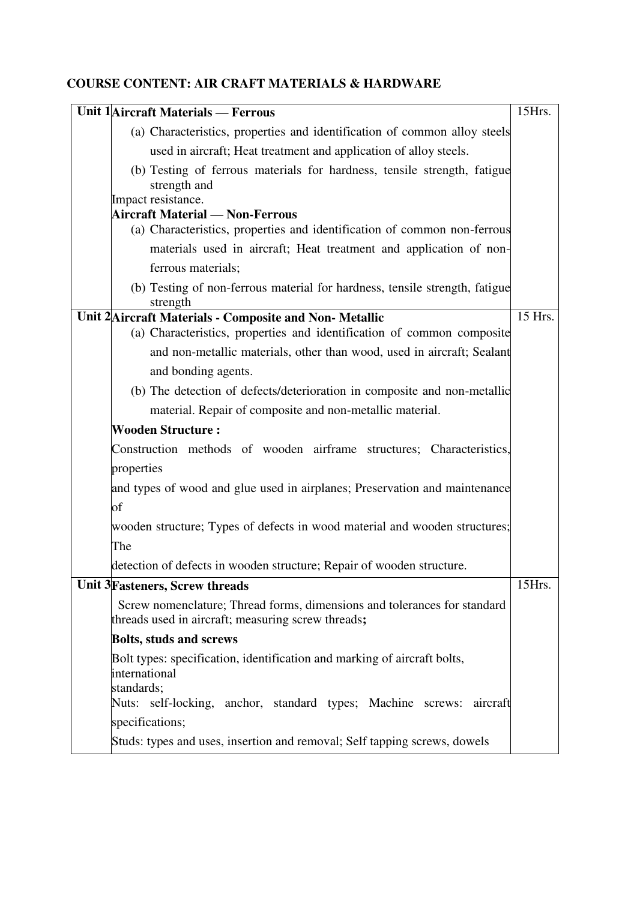# **COURSE CONTENT: AIR CRAFT MATERIALS & HARDWARE**

| Unit 1 Aircraft Materials — Ferrous                                                                                                                                                | 15Hrs.    |
|------------------------------------------------------------------------------------------------------------------------------------------------------------------------------------|-----------|
| (a) Characteristics, properties and identification of common alloy steels                                                                                                          |           |
| used in aircraft; Heat treatment and application of alloy steels.                                                                                                                  |           |
| (b) Testing of ferrous materials for hardness, tensile strength, fatigue<br>strength and                                                                                           |           |
| Impact resistance.                                                                                                                                                                 |           |
| <b>Aircraft Material — Non-Ferrous</b><br>(a) Characteristics, properties and identification of common non-ferrous                                                                 |           |
| materials used in aircraft; Heat treatment and application of non-                                                                                                                 |           |
|                                                                                                                                                                                    |           |
| ferrous materials;                                                                                                                                                                 |           |
| (b) Testing of non-ferrous material for hardness, tensile strength, fatigue<br>strength                                                                                            |           |
| Unit 2 Aircraft Materials - Composite and Non-Metallic                                                                                                                             | $15$ Hrs. |
| (a) Characteristics, properties and identification of common composite                                                                                                             |           |
| and non-metallic materials, other than wood, used in aircraft; Sealant                                                                                                             |           |
| and bonding agents.                                                                                                                                                                |           |
| (b) The detection of defects/deterioration in composite and non-metallic                                                                                                           |           |
| material. Repair of composite and non-metallic material.                                                                                                                           |           |
| <b>Wooden Structure:</b>                                                                                                                                                           |           |
| Construction methods of wooden airframe structures; Characteristics,                                                                                                               |           |
| properties                                                                                                                                                                         |           |
| and types of wood and glue used in airplanes; Preservation and maintenance                                                                                                         |           |
| of                                                                                                                                                                                 |           |
| wooden structure; Types of defects in wood material and wooden structures;                                                                                                         |           |
| The                                                                                                                                                                                |           |
| detection of defects in wooden structure; Repair of wooden structure.                                                                                                              |           |
| Unit 3Fasteners, Screw threads                                                                                                                                                     | 15Hrs.    |
| Screw nomenclature; Thread forms, dimensions and tolerances for standard<br>threads used in aircraft; measuring screw threads;                                                     |           |
| <b>Bolts, studs and screws</b>                                                                                                                                                     |           |
| Bolt types: specification, identification and marking of aircraft bolts,<br>international<br>standards;<br>Nuts: self-locking, anchor, standard types; Machine screws:<br>aircraft |           |
| specifications;                                                                                                                                                                    |           |
| Studs: types and uses, insertion and removal; Self tapping screws, dowels                                                                                                          |           |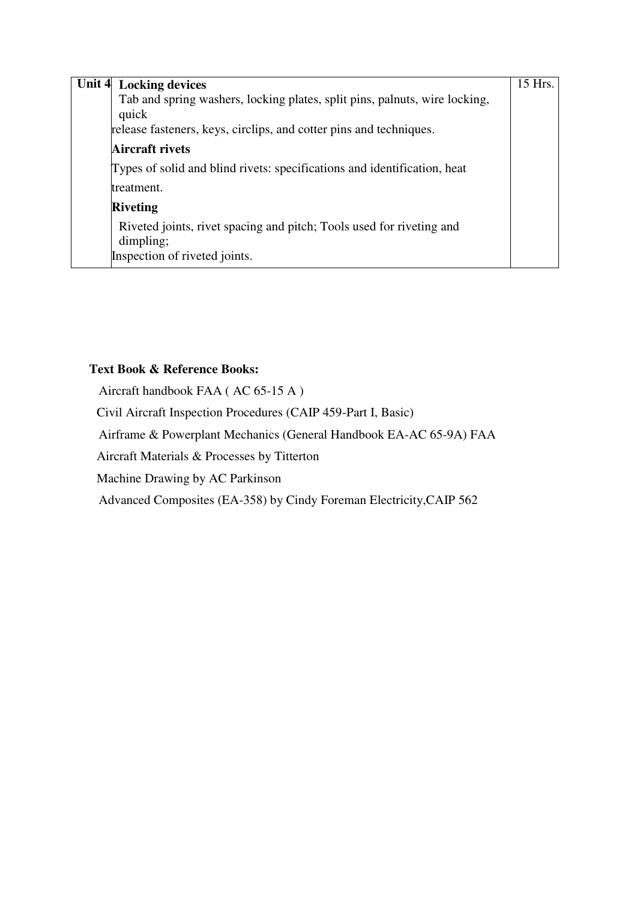| Unit 4 Locking devices                                                                                             | 15 Hrs. |
|--------------------------------------------------------------------------------------------------------------------|---------|
| Tab and spring washers, locking plates, split pins, palnuts, wire locking,                                         |         |
| quick                                                                                                              |         |
| release fasteners, keys, circlips, and cotter pins and techniques.                                                 |         |
| <b>Aircraft rivets</b>                                                                                             |         |
| Types of solid and blind rivets: specifications and identification, heat                                           |         |
| treatment.                                                                                                         |         |
| <b>Riveting</b>                                                                                                    |         |
| Riveted joints, rivet spacing and pitch; Tools used for riveting and<br>dimpling;<br>Inspection of riveted joints. |         |
|                                                                                                                    |         |

# **Text Book & Reference Books:**

Aircraft handbook FAA ( AC 65-15 A ) Civil Aircraft Inspection Procedures (CAIP 459-Part I, Basic) Airframe & Powerplant Mechanics (General Handbook EA-AC 65-9A) FAA Aircraft Materials & Processes by Titterton Machine Drawing by AC Parkinson Advanced Composites (EA-358) by Cindy Foreman Electricity,CAIP 562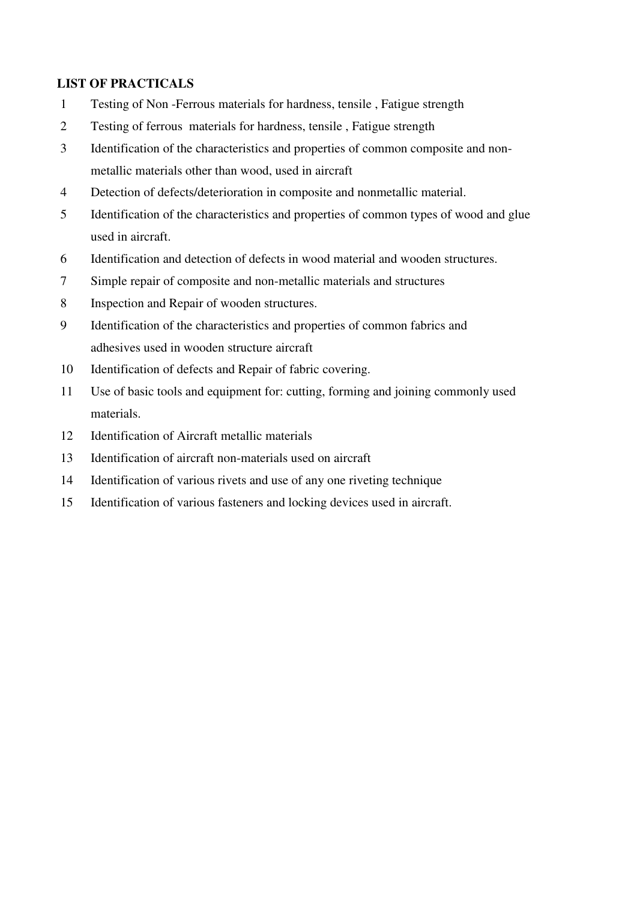# **LIST OF PRACTICALS**

- 1 Testing of Non -Ferrous materials for hardness, tensile , Fatigue strength
- 2 Testing of ferrous materials for hardness, tensile , Fatigue strength
- 3 Identification of the characteristics and properties of common composite and nonmetallic materials other than wood, used in aircraft
- 4 Detection of defects/deterioration in composite and nonmetallic material.
- 5 Identification of the characteristics and properties of common types of wood and glue used in aircraft.
- 6 Identification and detection of defects in wood material and wooden structures.
- 7 Simple repair of composite and non-metallic materials and structures
- 8 Inspection and Repair of wooden structures.
- 9 Identification of the characteristics and properties of common fabrics and adhesives used in wooden structure aircraft
- 10 Identification of defects and Repair of fabric covering.
- 11 Use of basic tools and equipment for: cutting, forming and joining commonly used materials.
- 12 Identification of Aircraft metallic materials
- 13 Identification of aircraft non-materials used on aircraft
- 14 Identification of various rivets and use of any one riveting technique
- 15 Identification of various fasteners and locking devices used in aircraft.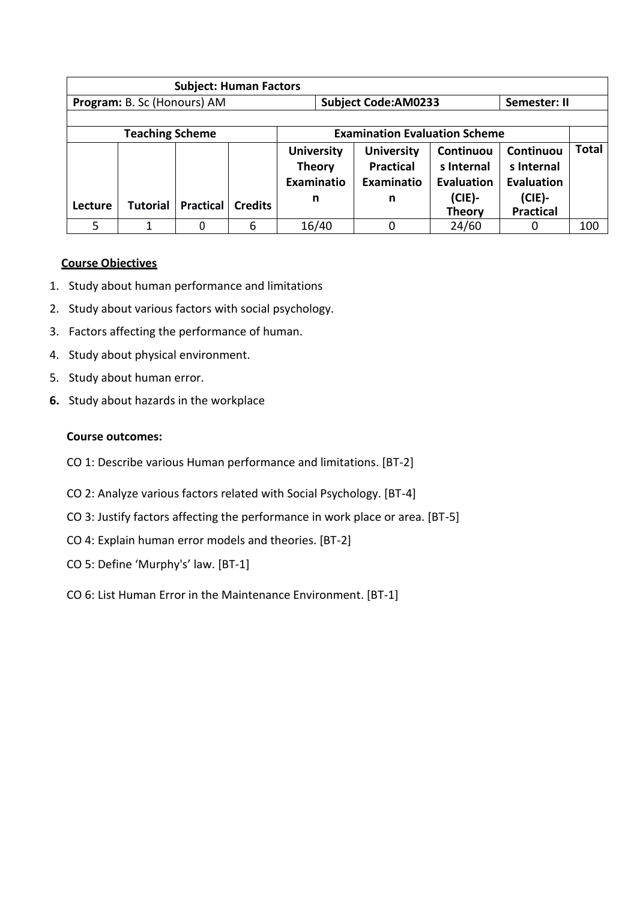|         |                             | <b>Subject: Human Factors</b> |                |                                                  |                                                            |                                              |                                              |              |  |
|---------|-----------------------------|-------------------------------|----------------|--------------------------------------------------|------------------------------------------------------------|----------------------------------------------|----------------------------------------------|--------------|--|
|         | Program: B. Sc (Honours) AM |                               |                |                                                  | <b>Subject Code:AM0233</b><br>Semester: II                 |                                              |                                              |              |  |
|         |                             |                               |                |                                                  |                                                            |                                              |                                              |              |  |
|         | <b>Teaching Scheme</b>      |                               |                |                                                  | <b>Examination Evaluation Scheme</b>                       |                                              |                                              |              |  |
|         |                             |                               |                | <b>University</b><br><b>Theory</b><br>Examinatio | <b>University</b><br><b>Practical</b><br><b>Examinatio</b> | Continuou<br>s Internal<br><b>Evaluation</b> | Continuou<br>s Internal<br><b>Evaluation</b> | <b>Total</b> |  |
| Lecture | <b>Tutorial</b>             | <b>Practical</b>              | <b>Credits</b> | n                                                | n                                                          | $(CIE)$ -<br><b>Theory</b>                   | $(CIE)$ -<br><b>Practical</b>                |              |  |
| 5       |                             | 0                             | 6              | 16/40                                            | 0                                                          | 24/60                                        | 0                                            | 100          |  |

- 1. Study about human performance and limitations
- 2. Study about various factors with social psychology.
- 3. Factors affecting the performance of human.
- 4. Study about physical environment.
- 5. Study about human error.
- **6.** Study about hazards in the workplace

### **Course outcomes:**

- CO 1: Describe various Human performance and limitations. [BT-2]
- CO 2: Analyze various factors related with Social Psychology. [BT-4]
- CO 3: Justify factors affecting the performance in work place or area. [BT-5]
- CO 4: Explain human error models and theories. [BT-2]
- CO 5: Define 'Murphy's' law. [BT-1]
- CO 6: List Human Error in the Maintenance Environment. [BT-1]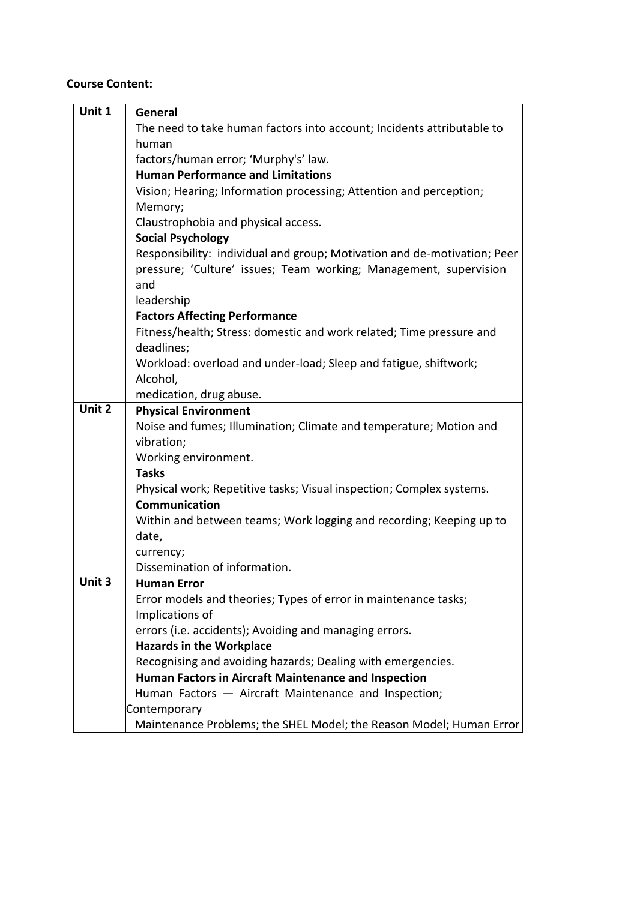| General                                                                            |
|------------------------------------------------------------------------------------|
| The need to take human factors into account; Incidents attributable to             |
| human                                                                              |
| factors/human error; 'Murphy's' law.                                               |
| <b>Human Performance and Limitations</b>                                           |
| Vision; Hearing; Information processing; Attention and perception;                 |
| Memory;                                                                            |
| Claustrophobia and physical access.                                                |
| <b>Social Psychology</b>                                                           |
| Responsibility: individual and group; Motivation and de-motivation; Peer           |
| pressure; 'Culture' issues; Team working; Management, supervision                  |
| and                                                                                |
| leadership                                                                         |
| <b>Factors Affecting Performance</b>                                               |
| Fitness/health; Stress: domestic and work related; Time pressure and               |
| deadlines;                                                                         |
| Workload: overload and under-load; Sleep and fatigue, shiftwork;                   |
| Alcohol,                                                                           |
| medication, drug abuse.                                                            |
| <b>Physical Environment</b>                                                        |
| Noise and fumes; Illumination; Climate and temperature; Motion and                 |
| vibration;                                                                         |
| Working environment.                                                               |
| <b>Tasks</b>                                                                       |
| Physical work; Repetitive tasks; Visual inspection; Complex systems.               |
| Communication                                                                      |
| Within and between teams; Work logging and recording; Keeping up to                |
| date,                                                                              |
| currency;                                                                          |
| Dissemination of information.<br><b>Human Error</b>                                |
|                                                                                    |
| Error models and theories; Types of error in maintenance tasks;<br>Implications of |
| errors (i.e. accidents); Avoiding and managing errors.                             |
| <b>Hazards in the Workplace</b>                                                    |
| Recognising and avoiding hazards; Dealing with emergencies.                        |
| Human Factors in Aircraft Maintenance and Inspection                               |
| Human Factors - Aircraft Maintenance and Inspection;                               |
| Contemporary                                                                       |
| Maintenance Problems; the SHEL Model; the Reason Model; Human Error                |
|                                                                                    |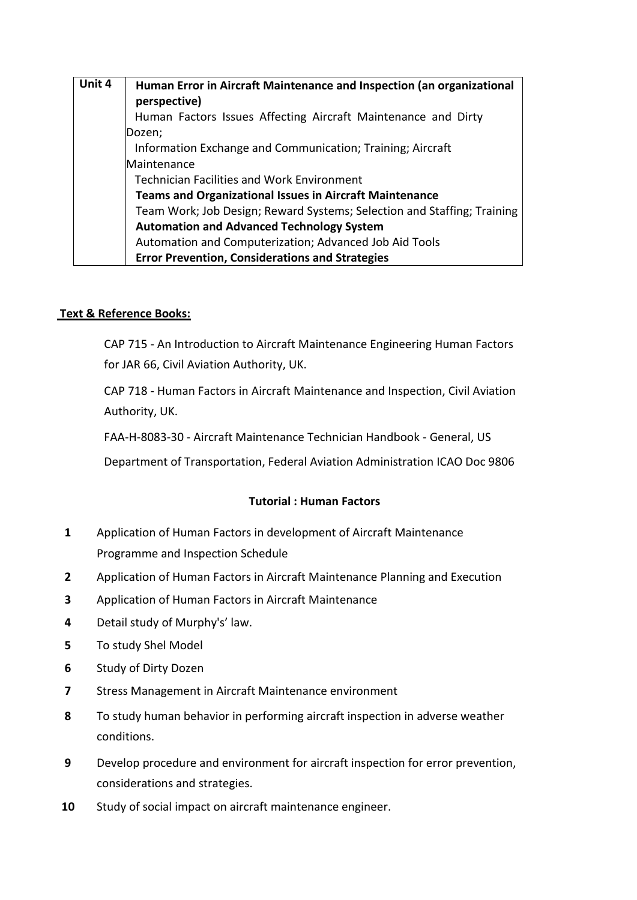| Unit 4 | Human Error in Aircraft Maintenance and Inspection (an organizational<br>perspective) |
|--------|---------------------------------------------------------------------------------------|
|        | Human Factors Issues Affecting Aircraft Maintenance and Dirty                         |
|        | Dozen;                                                                                |
|        | Information Exchange and Communication; Training; Aircraft                            |
|        | Maintenance                                                                           |
|        | <b>Technician Facilities and Work Environment</b>                                     |
|        | <b>Teams and Organizational Issues in Aircraft Maintenance</b>                        |
|        | Team Work; Job Design; Reward Systems; Selection and Staffing; Training               |
|        | <b>Automation and Advanced Technology System</b>                                      |
|        | Automation and Computerization; Advanced Job Aid Tools                                |
|        | <b>Error Prevention, Considerations and Strategies</b>                                |

### **Text & Reference Books:**

CAP 715 - An Introduction to Aircraft Maintenance Engineering Human Factors for JAR 66, Civil Aviation Authority, UK.

CAP 718 - Human Factors in Aircraft Maintenance and Inspection, Civil Aviation Authority, UK.

FAA-H-8083-30 - Aircraft Maintenance Technician Handbook - General, US

Department of Transportation, Federal Aviation Administration ICAO Doc 9806

## **Tutorial : Human Factors**

- **1** Application of Human Factors in development of Aircraft Maintenance Programme and Inspection Schedule
- **2** Application of Human Factors in Aircraft Maintenance Planning and Execution
- **3** Application of Human Factors in Aircraft Maintenance
- **4** Detail study of Murphy's' law.
- **5** To study Shel Model
- **6** Study of Dirty Dozen
- **7** Stress Management in Aircraft Maintenance environment
- **8** To study human behavior in performing aircraft inspection in adverse weather conditions.
- **9** Develop procedure and environment for aircraft inspection for error prevention, considerations and strategies.
- **10** Study of social impact on aircraft maintenance engineer.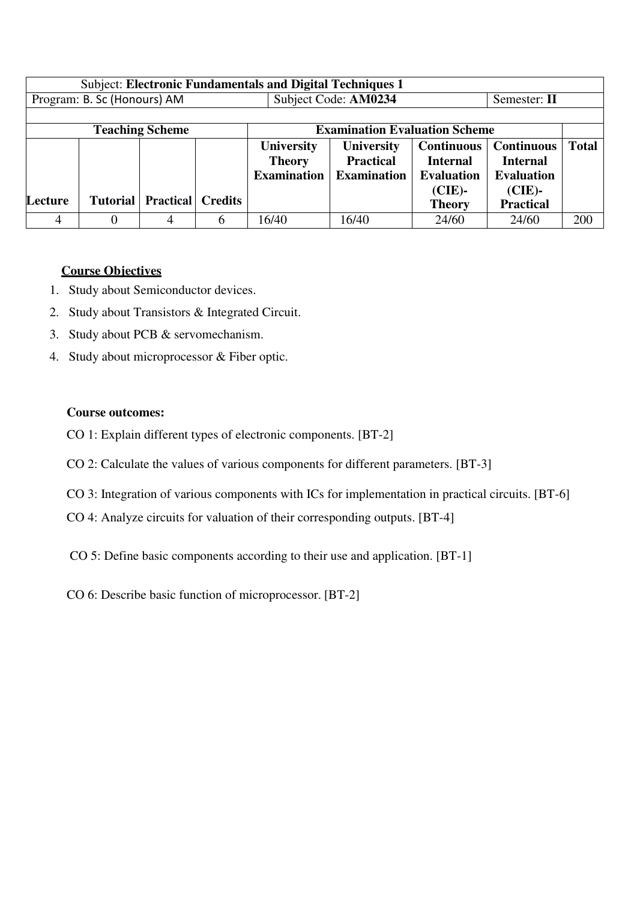| <b>Subject: Electronic Fundamentals and Digital Techniques 1</b> |  |                                       |   |                    |                                      |                   |                   |              |  |
|------------------------------------------------------------------|--|---------------------------------------|---|--------------------|--------------------------------------|-------------------|-------------------|--------------|--|
| Subject Code: AM0234<br>Program: B. Sc (Honours) AM              |  |                                       |   |                    |                                      |                   | Semester: II      |              |  |
|                                                                  |  |                                       |   |                    |                                      |                   |                   |              |  |
|                                                                  |  | <b>Teaching Scheme</b>                |   |                    | <b>Examination Evaluation Scheme</b> |                   |                   |              |  |
|                                                                  |  |                                       |   | <b>University</b>  | <b>University</b>                    | <b>Continuous</b> | <b>Continuous</b> | <b>Total</b> |  |
|                                                                  |  |                                       |   | <b>Theory</b>      | <b>Practical</b>                     | <b>Internal</b>   | <b>Internal</b>   |              |  |
|                                                                  |  |                                       |   | <b>Examination</b> | <b>Examination</b>                   | <b>Evaluation</b> | <b>Evaluation</b> |              |  |
|                                                                  |  |                                       |   |                    |                                      | $(CIE)$ -         | $(CIE)$ -         |              |  |
| Lecture                                                          |  | <b>Tutorial   Practical   Credits</b> |   |                    |                                      | <b>Theory</b>     | <b>Practical</b>  |              |  |
| 4                                                                |  | 4                                     | 6 | 16/40              | 16/40                                | 24/60             | 24/60             | 200          |  |

- 1. Study about Semiconductor devices.
- 2. Study about Transistors & Integrated Circuit.
- 3. Study about PCB & servomechanism.
- 4. Study about microprocessor & Fiber optic.

## **Course outcomes:**

- CO 1: Explain different types of electronic components. [BT-2]
- CO 2: Calculate the values of various components for different parameters. [BT-3]
- CO 3: Integration of various components with ICs for implementation in practical circuits. [BT-6]
- CO 4: Analyze circuits for valuation of their corresponding outputs. [BT-4]
- CO 5: Define basic components according to their use and application. [BT-1]
- CO 6: Describe basic function of microprocessor. [BT-2]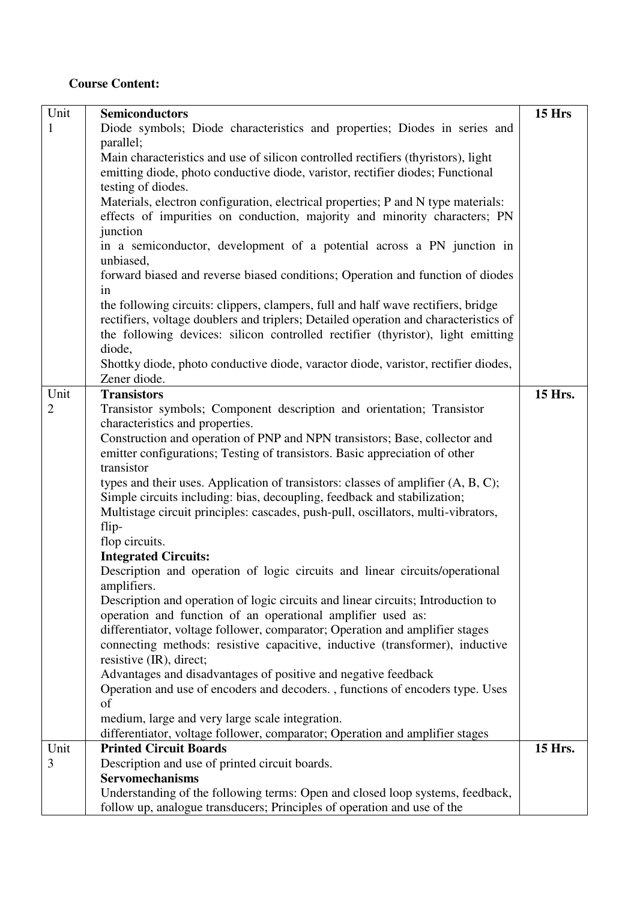| Unit | <b>Semiconductors</b>                                                                                                                           | 15 Hrs  |
|------|-------------------------------------------------------------------------------------------------------------------------------------------------|---------|
| 1    | Diode symbols; Diode characteristics and properties; Diodes in series and                                                                       |         |
|      | parallel;                                                                                                                                       |         |
|      | Main characteristics and use of silicon controlled rectifiers (thyristors), light                                                               |         |
|      | emitting diode, photo conductive diode, varistor, rectifier diodes; Functional                                                                  |         |
|      | testing of diodes.                                                                                                                              |         |
|      | Materials, electron configuration, electrical properties; P and N type materials:                                                               |         |
|      | effects of impurities on conduction, majority and minority characters; PN                                                                       |         |
|      | junction<br>in a semiconductor, development of a potential across a PN junction in                                                              |         |
|      | unbiased,                                                                                                                                       |         |
|      | forward biased and reverse biased conditions; Operation and function of diodes                                                                  |         |
|      | in                                                                                                                                              |         |
|      | the following circuits: clippers, clampers, full and half wave rectifiers, bridge                                                               |         |
|      | rectifiers, voltage doublers and triplers; Detailed operation and characteristics of                                                            |         |
|      | the following devices: silicon controlled rectifier (thyristor), light emitting                                                                 |         |
|      | diode,                                                                                                                                          |         |
|      | Shottky diode, photo conductive diode, varactor diode, varistor, rectifier diodes,                                                              |         |
|      | Zener diode.                                                                                                                                    |         |
| Unit | <b>Transistors</b>                                                                                                                              | 15 Hrs. |
| 2    | Transistor symbols; Component description and orientation; Transistor                                                                           |         |
|      | characteristics and properties.<br>Construction and operation of PNP and NPN transistors; Base, collector and                                   |         |
|      | emitter configurations; Testing of transistors. Basic appreciation of other                                                                     |         |
|      | transistor                                                                                                                                      |         |
|      | types and their uses. Application of transistors: classes of amplifier (A, B, C);                                                               |         |
|      | Simple circuits including: bias, decoupling, feedback and stabilization;                                                                        |         |
|      | Multistage circuit principles: cascades, push-pull, oscillators, multi-vibrators,                                                               |         |
|      | flip-                                                                                                                                           |         |
|      | flop circuits.                                                                                                                                  |         |
|      | <b>Integrated Circuits:</b>                                                                                                                     |         |
|      | Description and operation of logic circuits and linear circuits/operational                                                                     |         |
|      | amplifiers.                                                                                                                                     |         |
|      | Description and operation of logic circuits and linear circuits; Introduction to<br>operation and function of an operational amplifier used as: |         |
|      | differentiator, voltage follower, comparator; Operation and amplifier stages                                                                    |         |
|      | connecting methods: resistive capacitive, inductive (transformer), inductive                                                                    |         |
|      | resistive (IR), direct;                                                                                                                         |         |
|      | Advantages and disadvantages of positive and negative feedback                                                                                  |         |
|      | Operation and use of encoders and decoders., functions of encoders type. Uses                                                                   |         |
|      | of                                                                                                                                              |         |
|      | medium, large and very large scale integration.                                                                                                 |         |
|      | differentiator, voltage follower, comparator; Operation and amplifier stages                                                                    |         |
| Unit | <b>Printed Circuit Boards</b>                                                                                                                   | 15 Hrs. |
| 3    | Description and use of printed circuit boards.                                                                                                  |         |
|      | <b>Servomechanisms</b><br>Understanding of the following terms: Open and closed loop systems, feedback,                                         |         |
|      | follow up, analogue transducers; Principles of operation and use of the                                                                         |         |
|      |                                                                                                                                                 |         |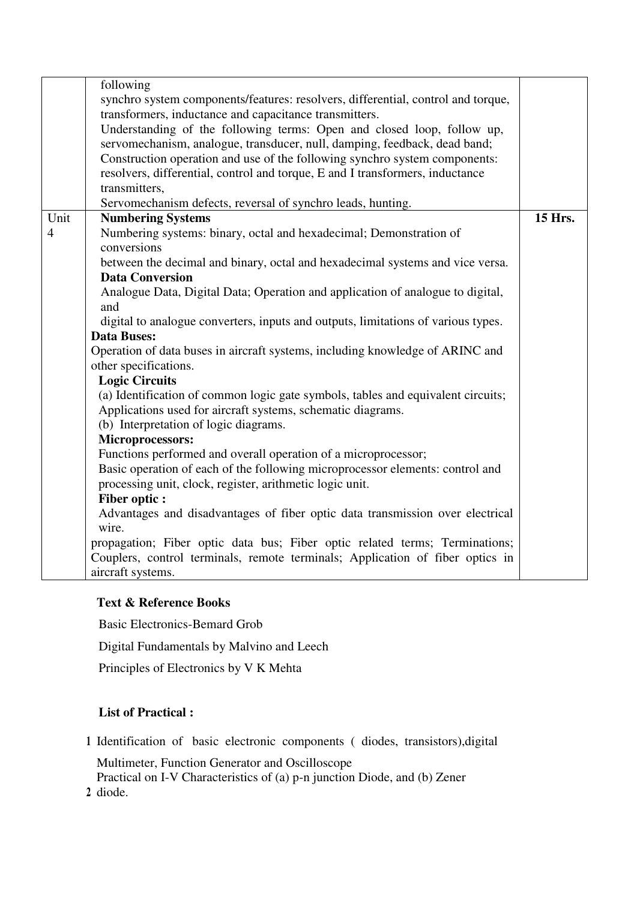|                | following<br>synchro system components/features: resolvers, differential, control and torque,<br>transformers, inductance and capacitance transmitters.<br>Understanding of the following terms: Open and closed loop, follow up,<br>servomechanism, analogue, transducer, null, damping, feedback, dead band; |         |
|----------------|----------------------------------------------------------------------------------------------------------------------------------------------------------------------------------------------------------------------------------------------------------------------------------------------------------------|---------|
|                | Construction operation and use of the following synchro system components:                                                                                                                                                                                                                                     |         |
|                | resolvers, differential, control and torque, E and I transformers, inductance                                                                                                                                                                                                                                  |         |
|                | transmitters,<br>Servomechanism defects, reversal of synchro leads, hunting.                                                                                                                                                                                                                                   |         |
| Unit           | <b>Numbering Systems</b>                                                                                                                                                                                                                                                                                       | 15 Hrs. |
| $\overline{4}$ | Numbering systems: binary, octal and hexadecimal; Demonstration of                                                                                                                                                                                                                                             |         |
|                | conversions                                                                                                                                                                                                                                                                                                    |         |
|                | between the decimal and binary, octal and hexadecimal systems and vice versa.                                                                                                                                                                                                                                  |         |
|                | <b>Data Conversion</b>                                                                                                                                                                                                                                                                                         |         |
|                | Analogue Data, Digital Data; Operation and application of analogue to digital,<br>and                                                                                                                                                                                                                          |         |
|                | digital to analogue converters, inputs and outputs, limitations of various types.                                                                                                                                                                                                                              |         |
|                | <b>Data Buses:</b>                                                                                                                                                                                                                                                                                             |         |
|                | Operation of data buses in aircraft systems, including knowledge of ARINC and<br>other specifications.                                                                                                                                                                                                         |         |
|                | <b>Logic Circuits</b>                                                                                                                                                                                                                                                                                          |         |
|                | (a) Identification of common logic gate symbols, tables and equivalent circuits;<br>Applications used for aircraft systems, schematic diagrams.<br>(b) Interpretation of logic diagrams.                                                                                                                       |         |
|                | Microprocessors:                                                                                                                                                                                                                                                                                               |         |
|                | Functions performed and overall operation of a microprocessor;                                                                                                                                                                                                                                                 |         |
|                | Basic operation of each of the following microprocessor elements: control and<br>processing unit, clock, register, arithmetic logic unit.                                                                                                                                                                      |         |
|                | <b>Fiber optic:</b>                                                                                                                                                                                                                                                                                            |         |
|                | Advantages and disadvantages of fiber optic data transmission over electrical<br>wire.                                                                                                                                                                                                                         |         |
|                | propagation; Fiber optic data bus; Fiber optic related terms; Terminations;<br>Couplers, control terminals, remote terminals; Application of fiber optics in<br>aircraft systems.                                                                                                                              |         |

# **Text & Reference Books**

Basic Electronics-Bemard Grob

Digital Fundamentals by Malvino and Leech

Principles of Electronics by V K Mehta

## **List of Practical :**

**<sup>1</sup>**Identification of basic electronic components ( diodes, transistors),digital

Multimeter, Function Generator and Oscilloscope

Practical on I-V Characteristics of (a) p-n junction Diode, and (b) Zener

**2**  diode.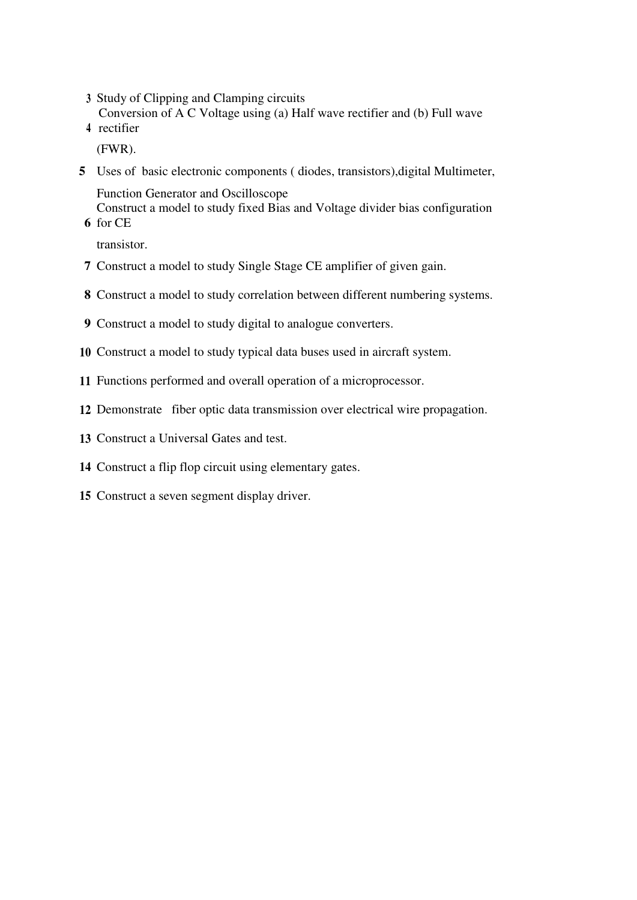- Study of Clipping and Clamping circuits
- Conversion of A C Voltage using (a) Half wave rectifier and (b) Full wave
- rectifier (FWR).
- Uses of basic electronic components ( diodes, transistors),digital Multimeter,

Function Generator and Oscilloscope

```
6 
for CE 
  Construct a model to study fixed Bias and Voltage divider bias configuration
```
transistor.

- Construct a model to study Single Stage CE amplifier of given gain.
- Construct a model to study correlation between different numbering systems.
- Construct a model to study digital to analogue converters.
- Construct a model to study typical data buses used in aircraft system.
- Functions performed and overall operation of a microprocessor.
- Demonstrate fiber optic data transmission over electrical wire propagation.
- Construct a Universal Gates and test.
- Construct a flip flop circuit using elementary gates.
- Construct a seven segment display driver.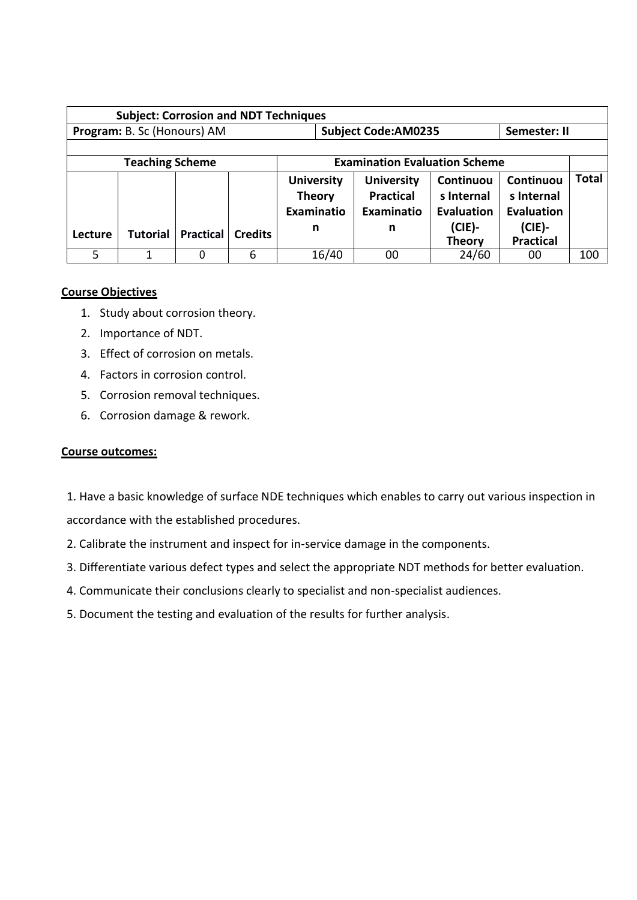| <b>Subject: Corrosion and NDT Techniques</b> |                 |           |                |                                      |                                       |                            |                               |       |  |  |
|----------------------------------------------|-----------------|-----------|----------------|--------------------------------------|---------------------------------------|----------------------------|-------------------------------|-------|--|--|
| Program: B. Sc (Honours) AM                  |                 |           |                | <b>Subject Code:AM0235</b>           |                                       |                            | Semester: II                  |       |  |  |
|                                              |                 |           |                |                                      |                                       |                            |                               |       |  |  |
| <b>Teaching Scheme</b>                       |                 |           |                | <b>Examination Evaluation Scheme</b> |                                       |                            |                               |       |  |  |
|                                              |                 |           |                | <b>University</b><br><b>Theory</b>   | <b>University</b><br><b>Practical</b> | Continuou<br>s Internal    | Continuou<br>s Internal       | Total |  |  |
|                                              |                 |           |                | Examinatio                           | Examinatio                            | <b>Evaluation</b>          | <b>Evaluation</b>             |       |  |  |
| Lecture                                      | <b>Tutorial</b> | Practical | <b>Credits</b> | n                                    | n                                     | $(CIE)$ -<br><b>Theory</b> | $(CIE)$ -<br><b>Practical</b> |       |  |  |
| 5                                            |                 | 0         | 6              | 16/40                                | 00                                    | 24/60                      | 00                            | 100   |  |  |

- 1. Study about corrosion theory.
- 2. Importance of NDT.
- 3. Effect of corrosion on metals.
- 4. Factors in corrosion control.
- 5. Corrosion removal techniques.
- 6. Corrosion damage & rework.

## **Course outcomes:**

1. Have a basic knowledge of surface NDE techniques which enables to carry out various inspection in accordance with the established procedures.

- 2. Calibrate the instrument and inspect for in-service damage in the components.
- 3. Differentiate various defect types and select the appropriate NDT methods for better evaluation.
- 4. Communicate their conclusions clearly to specialist and non-specialist audiences.
- 5. Document the testing and evaluation of the results for further analysis.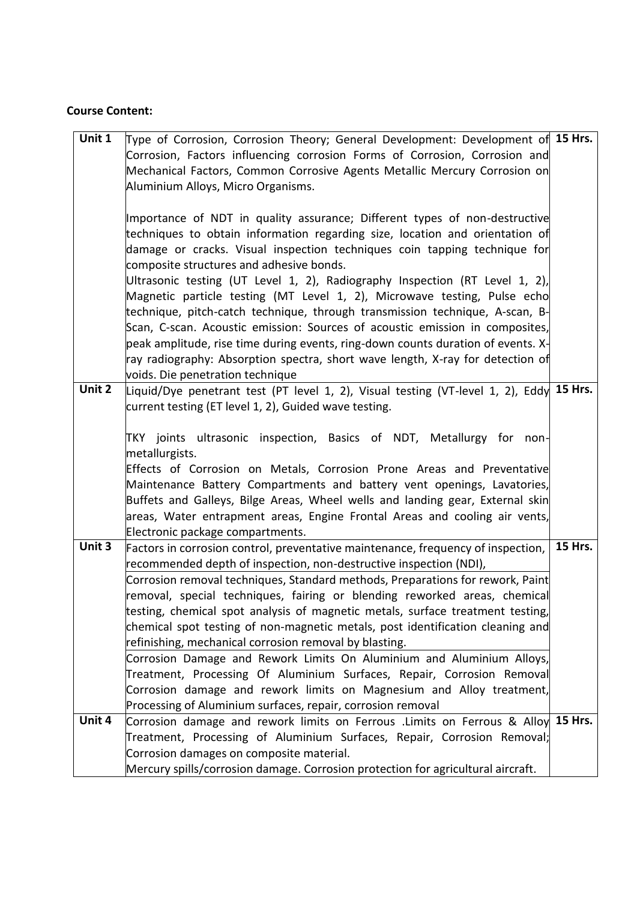| Unit 1 | Type of Corrosion, Corrosion Theory; General Development: Development of 15 Hrs.                                                                |                |  |  |  |  |  |
|--------|-------------------------------------------------------------------------------------------------------------------------------------------------|----------------|--|--|--|--|--|
|        | Corrosion, Factors influencing corrosion Forms of Corrosion, Corrosion and                                                                      |                |  |  |  |  |  |
|        | Mechanical Factors, Common Corrosive Agents Metallic Mercury Corrosion on                                                                       |                |  |  |  |  |  |
|        | Aluminium Alloys, Micro Organisms.                                                                                                              |                |  |  |  |  |  |
|        | Importance of NDT in quality assurance; Different types of non-destructive                                                                      |                |  |  |  |  |  |
|        | techniques to obtain information regarding size, location and orientation of                                                                    |                |  |  |  |  |  |
|        | damage or cracks. Visual inspection techniques coin tapping technique for                                                                       |                |  |  |  |  |  |
|        | composite structures and adhesive bonds.                                                                                                        |                |  |  |  |  |  |
|        | Ultrasonic testing (UT Level 1, 2), Radiography Inspection (RT Level 1, 2),                                                                     |                |  |  |  |  |  |
|        | Magnetic particle testing (MT Level 1, 2), Microwave testing, Pulse echo                                                                        |                |  |  |  |  |  |
|        | technique, pitch-catch technique, through transmission technique, A-scan, B-                                                                    |                |  |  |  |  |  |
|        | Scan, C-scan. Acoustic emission: Sources of acoustic emission in composites,                                                                    |                |  |  |  |  |  |
|        | peak amplitude, rise time during events, ring-down counts duration of events. X-                                                                |                |  |  |  |  |  |
|        | ray radiography: Absorption spectra, short wave length, X-ray for detection of<br>voids. Die penetration technique                              |                |  |  |  |  |  |
| Unit 2 | Liquid/Dye penetrant test (PT level 1, 2), Visual testing (VT-level 1, 2), Eddy 15 Hrs.                                                         |                |  |  |  |  |  |
|        | current testing (ET level 1, 2), Guided wave testing.                                                                                           |                |  |  |  |  |  |
|        |                                                                                                                                                 |                |  |  |  |  |  |
|        | TKY joints ultrasonic inspection, Basics of NDT, Metallurgy for non-                                                                            |                |  |  |  |  |  |
|        | metallurgists.                                                                                                                                  |                |  |  |  |  |  |
|        | Effects of Corrosion on Metals, Corrosion Prone Areas and Preventative                                                                          |                |  |  |  |  |  |
|        | Maintenance Battery Compartments and battery vent openings, Lavatories,                                                                         |                |  |  |  |  |  |
|        | Buffets and Galleys, Bilge Areas, Wheel wells and landing gear, External skin                                                                   |                |  |  |  |  |  |
|        | areas, Water entrapment areas, Engine Frontal Areas and cooling air vents,<br>Electronic package compartments.                                  |                |  |  |  |  |  |
| Unit 3 | Factors in corrosion control, preventative maintenance, frequency of inspection,                                                                | <b>15 Hrs.</b> |  |  |  |  |  |
|        | recommended depth of inspection, non-destructive inspection (NDI),                                                                              |                |  |  |  |  |  |
|        | Corrosion removal techniques, Standard methods, Preparations for rework, Paint                                                                  |                |  |  |  |  |  |
|        | removal, special techniques, fairing or blending reworked areas, chemical                                                                       |                |  |  |  |  |  |
|        | testing, chemical spot analysis of magnetic metals, surface treatment testing,                                                                  |                |  |  |  |  |  |
|        | chemical spot testing of non-magnetic metals, post identification cleaning and                                                                  |                |  |  |  |  |  |
|        | refinishing, mechanical corrosion removal by blasting.                                                                                          |                |  |  |  |  |  |
|        | Corrosion Damage and Rework Limits On Aluminium and Aluminium Alloys,                                                                           |                |  |  |  |  |  |
|        | Treatment, Processing Of Aluminium Surfaces, Repair, Corrosion Removal                                                                          |                |  |  |  |  |  |
|        | Corrosion damage and rework limits on Magnesium and Alloy treatment,                                                                            |                |  |  |  |  |  |
| Unit 4 | Processing of Aluminium surfaces, repair, corrosion removal<br>Corrosion damage and rework limits on Ferrous .Limits on Ferrous & Alloy 15 Hrs. |                |  |  |  |  |  |
|        | Treatment, Processing of Aluminium Surfaces, Repair, Corrosion Removal;                                                                         |                |  |  |  |  |  |
|        | Corrosion damages on composite material.                                                                                                        |                |  |  |  |  |  |
|        | Mercury spills/corrosion damage. Corrosion protection for agricultural aircraft.                                                                |                |  |  |  |  |  |